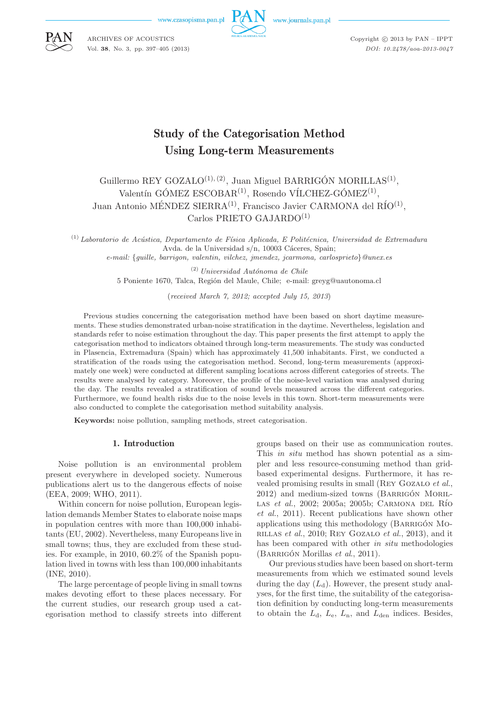www.czasopisma.pan.pl



www.journals.pan.pl



ARCHIVES OF ACOUSTICS Vol. **38**, No. 3, pp. 397–405 (2013) Copyright  $\odot$  2013 by PAN - IPPT *DOI: 10.2478/aoa-2013-0047*

# Study of the Categorisation Method Using Long-term Measurements

Guillermo REY GOZALO<sup>(1), (2)</sup>, Juan Miguel BARRIGÓN MORILLAS<sup>(1)</sup>, Valentín GÓMEZ ESCOBAR<sup>(1)</sup>, Rosendo VÍLCHEZ-GÓMEZ<sup>(1)</sup>, Juan Antonio MÉNDEZ SIERRA<sup>(1)</sup>, Francisco Javier CARMONA del RÍO<sup>(1)</sup>, Carlos PRIETO GAJARDO<sup>(1)</sup>

<sup>(1)</sup> Laboratorio de Acústica, Departamento de Física Aplicada, E Politécnica, Universidad de Extremadura Avda. de la Universidad s/n, 10003 Cáceres, Spain; *e-mail:* {*guille, barrigon, valentin, vilchez, jmendez, jcarmona, carlosprieto*}*@unex.es*

> (2) *Universidad Autónoma de Chile* 5 Poniente 1670, Talca, Región del Maule, Chile; e-mail: greyg@uautonoma.cl

> > (*received March 7, 2012; accepted July 15, 2013*)

Previous studies concerning the categorisation method have been based on short daytime measurements. These studies demonstrated urban-noise stratification in the daytime. Nevertheless, legislation and standards refer to noise estimation throughout the day. This paper presents the first attempt to apply the categorisation method to indicators obtained through long-term measurements. The study was conducted in Plasencia, Extremadura (Spain) which has approximately 41,500 inhabitants. First, we conducted a stratification of the roads using the categorisation method. Second, long-term measurements (approximately one week) were conducted at different sampling locations across different categories of streets. The results were analysed by category. Moreover, the profile of the noise-level variation was analysed during the day. The results revealed a stratification of sound levels measured across the different categories. Furthermore, we found health risks due to the noise levels in this town. Short-term measurements were also conducted to complete the categorisation method suitability analysis.

**Keywords:** noise pollution, sampling methods, street categorisation.

# 1. Introduction

Noise pollution is an environmental problem present everywhere in developed society. Numerous publications alert us to the dangerous effects of noise (EEA, 2009; WHO, 2011).

Within concern for noise pollution, European legislation demands Member States to elaborate noise maps in population centres with more than 100,000 inhabitants (EU, 2002). Nevertheless, many Europeans live in small towns; thus, they are excluded from these studies. For example, in 2010, 60.2% of the Spanish population lived in towns with less than 100,000 inhabitants (INE, 2010).

The large percentage of people living in small towns makes devoting effort to these places necessary. For the current studies, our research group used a categorisation method to classify streets into different groups based on their use as communication routes. This *in situ* method has shown potential as a simpler and less resource-consuming method than gridbased experimental designs. Furthermore, it has revealed promising results in small (Rey Gozalo *et al.*, 2012) and medium-sized towns (BARRIGÓN MORIL-LAS *et al.*, 2002; 2005a; 2005b; CARMONA DEL RÍO *et al.*, 2011). Recent publications have shown other applications using this methodology (Barrigón Morillas *et al.*, 2010; Rey Gozalo *et al.*, 2013), and it has been compared with other *in situ* methodologies (Barrigón Morillas *et al*., 2011).

Our previous studies have been based on short-term measurements from which we estimated sound levels during the day  $(L_d)$ . However, the present study analyses, for the first time, the suitability of the categorisation definition by conducting long-term measurements to obtain the  $L_d$ ,  $L_e$ ,  $L_n$ , and  $L_{den}$  indices. Besides,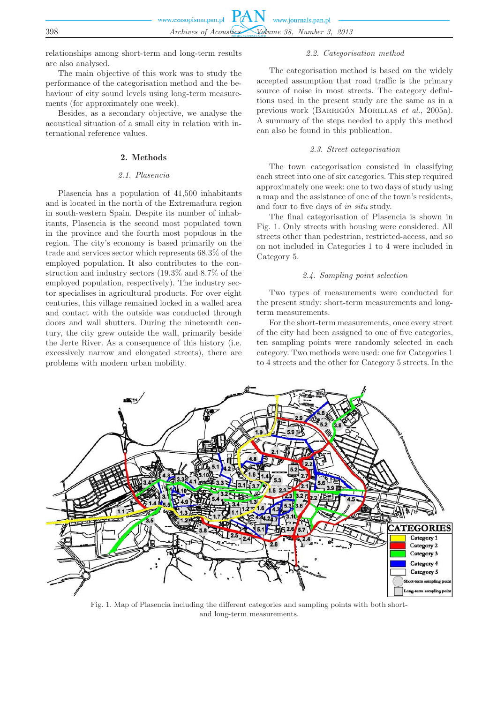|     | www.czasopisma.pan.pl $PAN$ www.journals.pan.pl |
|-----|-------------------------------------------------|
|     |                                                 |
| 398 | Archives of Acoustics Volume 38, Number 3, 2013 |

relationships among short-term and long-term results are also analysed.

The main objective of this work was to study the performance of the categorisation method and the behaviour of city sound levels using long-term measurements (for approximately one week).

Besides, as a secondary objective, we analyse the acoustical situation of a small city in relation with international reference values.

# 2. Methods

## *2.1. Plasencia*

Plasencia has a population of 41,500 inhabitants and is located in the north of the Extremadura region in south-western Spain. Despite its number of inhabitants, Plasencia is the second most populated town in the province and the fourth most populous in the region. The city's economy is based primarily on the trade and services sector which represents 68.3% of the employed population. It also contributes to the construction and industry sectors (19.3% and 8.7% of the employed population, respectively). The industry sector specialises in agricultural products. For over eight centuries, this village remained locked in a walled area and contact with the outside was conducted through doors and wall shutters. During the nineteenth century, the city grew outside the wall, primarily beside the Jerte River. As a consequence of this history (i.e. excessively narrow and elongated streets), there are problems with modern urban mobility.

## *2.2. Categorisation method*

The categorisation method is based on the widely accepted assumption that road traffic is the primary source of noise in most streets. The category definitions used in the present study are the same as in a previous work (Barrigón Morillas *et al.*, 2005a). A summary of the steps needed to apply this method can also be found in this publication.

## *2.3. Street categorisation*

The town categorisation consisted in classifying each street into one of six categories. This step required approximately one week: one to two days of study using a map and the assistance of one of the town's residents, and four to five days of *in situ* study.

The final categorisation of Plasencia is shown in Fig. 1. Only streets with housing were considered. All streets other than pedestrian, restricted-access, and so on not included in Categories 1 to 4 were included in Category 5.

## *2.4. Sampling point selection*

Two types of measurements were conducted for the present study: short-term measurements and longterm measurements.

For the short-term measurements, once every street of the city had been assigned to one of five categories, ten sampling points were randomly selected in each category. Two methods were used: one for Categories 1 to 4 streets and the other for Category 5 streets. In the



Fig. 1. Map of Plasencia including the different categories and sampling points with both shortand long-term measurements.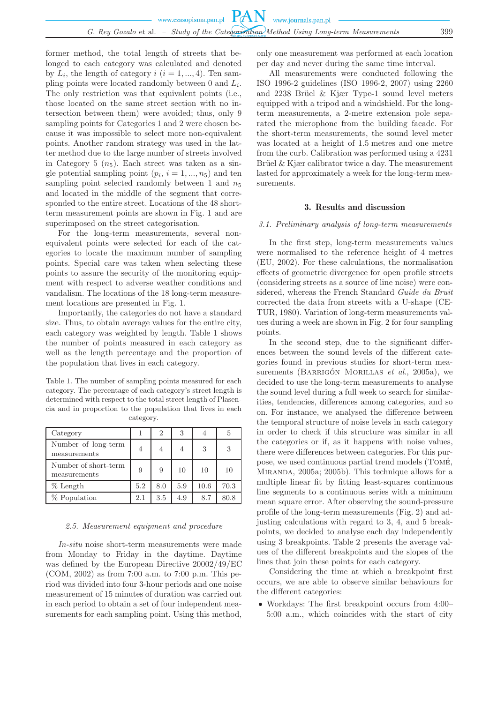former method, the total length of streets that belonged to each category was calculated and denoted by  $L_i$ , the length of category  $i$   $(i = 1, ..., 4)$ . Ten sampling points were located randomly between 0 and  $L_i$ . The only restriction was that equivalent points (i.e., those located on the same street section with no intersection between them) were avoided; thus, only 9 sampling points for Categories 1 and 2 were chosen because it was impossible to select more non-equivalent points. Another random strategy was used in the latter method due to the large number of streets involved in Category 5  $(n_5)$ . Each street was taken as a single potential sampling point  $(p_i, i = 1, ..., n_5)$  and ten sampling point selected randomly between 1 and  $n_5$ and located in the middle of the segment that corresponded to the entire street. Locations of the 48 shortterm measurement points are shown in Fig. 1 and are superimposed on the street categorisation.

For the long-term measurements, several nonequivalent points were selected for each of the categories to locate the maximum number of sampling points. Special care was taken when selecting these points to assure the security of the monitoring equipment with respect to adverse weather conditions and vandalism. The locations of the 18 long-term measurement locations are presented in Fig. 1.

Importantly, the categories do not have a standard size. Thus, to obtain average values for the entire city, each category was weighted by length. Table 1 shows the number of points measured in each category as well as the length percentage and the proportion of the population that lives in each category.

Table 1. The number of sampling points measured for each category. The percentage of each category's street length is determined with respect to the total street length of Plasencia and in proportion to the population that lives in each category.

| Category                             |     | 2   | 3              |      | 5    |
|--------------------------------------|-----|-----|----------------|------|------|
| Number of long-term<br>measurements  | 4   | 4   | $\overline{4}$ | 3    | 3    |
| Number of short-term<br>measurements | 9   | 9   | 10             | 10   | 10   |
| $%$ Length                           | 5.2 | 8.0 | 5.9            | 10.6 | 70.3 |
| % Population                         | 2.1 | 3.5 | 4.9            | 8.7  | 80.8 |

#### *2.5. Measurement equipment and procedure*

*In-situ* noise short-term measurements were made from Monday to Friday in the daytime. Daytime was defined by the European Directive 20002/49/EC (COM, 2002) as from 7:00 a.m. to 7:00 p.m. This period was divided into four 3-hour periods and one noise measurement of 15 minutes of duration was carried out in each period to obtain a set of four independent measurements for each sampling point. Using this method,

only one measurement was performed at each location per day and never during the same time interval.

All measurements were conducted following the ISO 1996-2 guidelines (ISO 1996-2, 2007) using 2260 and  $2238$  Brüel & Kjær Type-1 sound level meters equipped with a tripod and a windshield. For the longterm measurements, a 2-metre extension pole separated the microphone from the building facade. For the short-term measurements, the sound level meter was located at a height of 1.5 metres and one metre from the curb. Calibration was performed using a 4231 Brüel & Kjær calibrator twice a day. The measurement lasted for approximately a week for the long-term measurements.

# 3. Results and discussion

## *3.1. Preliminary analysis of long-term measurements*

In the first step, long-term measurements values were normalised to the reference height of 4 metres (EU, 2002). For these calculations, the normalisation effects of geometric divergence for open profile streets (considering streets as a source of line noise) were considered, whereas the French Standard *Guide du Bruit* corrected the data from streets with a U-shape (CE-TUR, 1980). Variation of long-term measurements values during a week are shown in Fig. 2 for four sampling points.

In the second step, due to the significant differences between the sound levels of the different categories found in previous studies for short-term measurements (BARRIGÓN MORILLAS *et al.*, 2005a), we decided to use the long-term measurements to analyse the sound level during a full week to search for similarities, tendencies, differences among categories, and so on. For instance, we analysed the difference between the temporal structure of noise levels in each category in order to check if this structure was similar in all the categories or if, as it happens with noise values, there were differences between categories. For this purpose, we used continuous partial trend models  $(TOME,$ Miranda, 2005a; 2005b). This technique allows for a multiple linear fit by fitting least-squares continuous line segments to a continuous series with a minimum mean square error. After observing the sound-pressure profile of the long-term measurements (Fig. 2) and adjusting calculations with regard to 3, 4, and 5 breakpoints, we decided to analyse each day independently using 3 breakpoints. Table 2 presents the average values of the different breakpoints and the slopes of the lines that join these points for each category.

Considering the time at which a breakpoint first occurs, we are able to observe similar behaviours for the different categories:

• Workdays: The first breakpoint occurs from 4:00– 5:00 a.m., which coincides with the start of city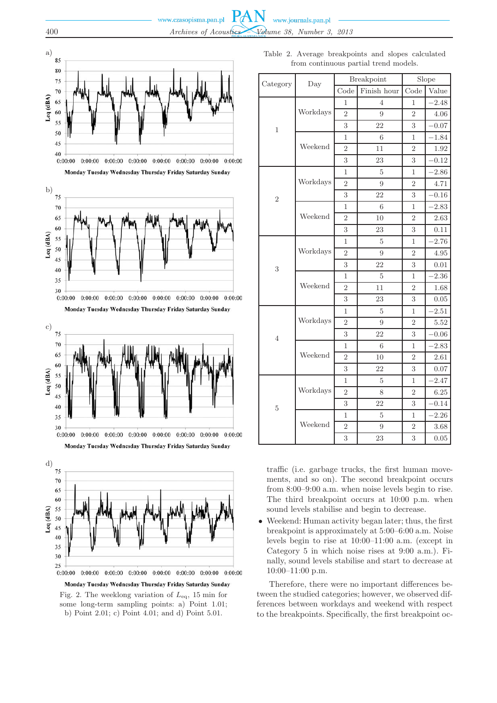









Fig. 2. The weeklong variation of  $L_{eq}$ , 15 min for some long-term sampling points: a) Point 1.01; b) Point 2.01; c) Point 4.01; and d) Point 5.01.

Table 2. Average breakpoints and slopes calculated from continuous partial trend models.

|                |          |                | Breakpoint  |                | Slope   |
|----------------|----------|----------------|-------------|----------------|---------|
| Category       | Day      | Code           | Finish hour | Code           | Value   |
|                |          | 1              | 4           | 1              | $-2.48$ |
|                | Workdays | $\overline{2}$ | 9           | 2              | 4.06    |
| $\mathbf{1}$   |          | 3              | 22          | 3              | $-0.07$ |
|                |          | 1              | 6           | 1              | $-1.84$ |
|                | Weekend  | $\overline{2}$ | 11          | $\overline{2}$ | 1.92    |
|                |          | 3              | 23          | 3              | $-0.12$ |
|                |          | $\mathbf 1$    | 5           | 1              | $-2.86$ |
|                | Workdays | $\overline{2}$ | 9           | $\overline{2}$ | 4.71    |
| $\overline{2}$ |          | 3              | 22          | 3              | $-0.16$ |
|                |          | 1              | 6           | 1              | $-2.83$ |
|                | Weekend  | $\overline{2}$ | 10          | $\overline{2}$ | 2.63    |
|                |          | 3              | 23          | 3              | 0.11    |
|                |          | 1              | 5           | 1              | $-2.76$ |
|                | Workdays | $\overline{2}$ | 9           | $\overline{2}$ | 4.95    |
| 3              |          | 3              | 22          | 3              | 0.01    |
|                |          | 1              | 5           | 1              | $-2.36$ |
|                | Weekend  | $\overline{2}$ | 11          | $\overline{2}$ | 1.68    |
|                |          | 3              | 23          | 3              | 0.05    |
|                |          | 1              | 5           | 1              | $-2.51$ |
|                | Workdays | $\overline{2}$ | 9           | $\overline{2}$ | 5.52    |
| 4              |          | 3              | 22          | 3              | $-0.06$ |
|                |          | 1              | 6           | 1              | $-2.83$ |
|                | Weekend  | $\overline{2}$ | 10          | $\overline{2}$ | 2.61    |
|                |          | 3              | 22          | 3              | 0.07    |
|                |          | 1              | 5           | 1              | $-2.47$ |
| 5              | Workdays | $\overline{2}$ | 8           | $\overline{2}$ | 6.25    |
|                |          | 3              | 22          | 3              | $-0.14$ |
|                |          | 1              | 5           | 1              | $-2.26$ |
|                | Weekend  | $\overline{2}$ | 9           | $\overline{2}$ | 3.68    |
|                |          | 3              | 23          | 3              | 0.05    |

traffic (i.e. garbage trucks, the first human movements, and so on). The second breakpoint occurs from 8:00–9:00 a.m. when noise levels begin to rise. The third breakpoint occurs at 10:00 p.m. when sound levels stabilise and begin to decrease.

• Weekend: Human activity began later; thus, the first breakpoint is approximately at 5:00–6:00 a.m. Noise levels begin to rise at 10:00–11:00 a.m. (except in Category 5 in which noise rises at 9:00 a.m.). Finally, sound levels stabilise and start to decrease at 10:00–11:00 p.m.

Therefore, there were no important differences between the studied categories; however, we observed differences between workdays and weekend with respect to the breakpoints. Specifically, the first breakpoint oc-

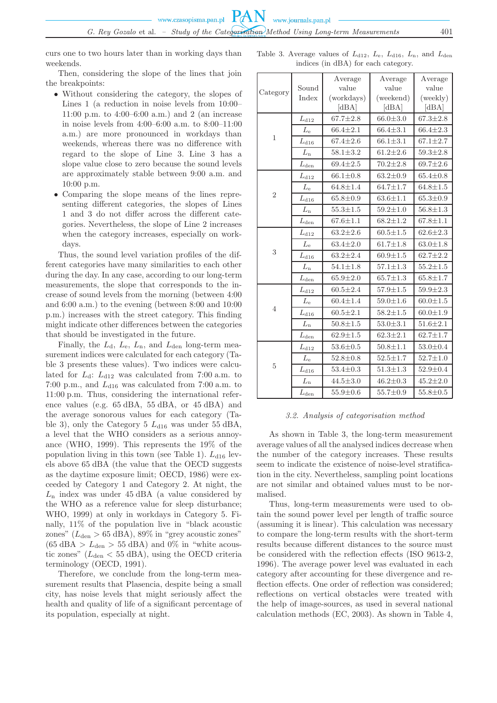curs one to two hours later than in working days than weekends.

Then, considering the slope of the lines that join the breakpoints:

- Without considering the category, the slopes of Lines 1 (a reduction in noise levels from 10:00– 11:00 p.m. to 4:00–6:00 a.m.) and 2 (an increase in noise levels from 4:00–6:00 a.m. to 8:00–11:00 a.m.) are more pronounced in workdays than weekends, whereas there was no difference with regard to the slope of Line 3. Line 3 has a slope value close to zero because the sound levels are approximately stable between 9:00 a.m. and 10:00 p.m.
- Comparing the slope means of the lines representing different categories, the slopes of Lines 1 and 3 do not differ across the different categories. Nevertheless, the slope of Line 2 increases when the category increases, especially on workdays.

Thus, the sound level variation profiles of the different categories have many similarities to each other during the day. In any case, according to our long-term measurements, the slope that corresponds to the increase of sound levels from the morning (between 4:00 and 6:00 a.m.) to the evening (between 8:00 and 10:00 p.m.) increases with the street category. This finding might indicate other differences between the categories that should be investigated in the future.

Finally, the  $L_d$ ,  $L_e$ ,  $L_n$ , and  $L_{den}$  long-term measurement indices were calculated for each category (Table 3 presents these values). Two indices were calculated for  $L_d$ :  $L_{d12}$  was calculated from 7:00 a.m. to 7:00 p.m., and  $L_{d16}$  was calculated from 7:00 a.m. to 11:00 p.m. Thus, considering the international reference values (e.g. 65 dBA, 55 dBA, or 45 dBA) and the average sonorous values for each category (Table 3), only the Category 5  $L_{d16}$  was under 55 dBA, a level that the WHO considers as a serious annoyance (WHO, 1999). This represents the 19% of the population living in this town (see Table 1).  $L_{d16}$  levels above 65 dBA (the value that the OECD suggests as the daytime exposure limit; OECD, 1986) were exceeded by Category 1 and Category 2. At night, the  $L_n$  index was under 45 dBA (a value considered by the WHO as a reference value for sleep disturbance; WHO, 1999) at only in workdays in Category 5. Finally, 11% of the population live in "black acoustic zones" ( $L_{\text{den}} > 65 \text{ dBA}$ ), 89% in "grey acoustic zones"  $(65 \text{ dBA} > L_{\text{den}} > 55 \text{ dBA})$  and 0% in "white acoustic zones" ( $L_{den}$  < 55 dBA), using the OECD criteria terminology (OECD, 1991).

Therefore, we conclude from the long-term measurement results that Plasencia, despite being a small city, has noise levels that might seriously affect the health and quality of life of a significant percentage of its population, especially at night.

Table 3. Average values of  $L_{d12}$ ,  $L_e$ ,  $L_{d16}$ ,  $L_n$ , and  $L_{den}$ indices (in dBA) for each category.

|                |               | Average                                                                                                                                                                                                                                                                                                                                                                                                                                                                                                                                                                                                                                                                                                                                                               | Average        | Average        |
|----------------|---------------|-----------------------------------------------------------------------------------------------------------------------------------------------------------------------------------------------------------------------------------------------------------------------------------------------------------------------------------------------------------------------------------------------------------------------------------------------------------------------------------------------------------------------------------------------------------------------------------------------------------------------------------------------------------------------------------------------------------------------------------------------------------------------|----------------|----------------|
| Category       | Sound         |                                                                                                                                                                                                                                                                                                                                                                                                                                                                                                                                                                                                                                                                                                                                                                       |                | value          |
|                | Index         |                                                                                                                                                                                                                                                                                                                                                                                                                                                                                                                                                                                                                                                                                                                                                                       |                | (weekly)       |
|                |               | value<br>value<br>(workdays)<br>(weekend)<br>[dBA]<br>[dBA]<br>$67.7 \pm 2.8$<br>$66.0 \pm 3.0$<br>$66.4 \pm 3.1$<br>$66.4 \pm 2.1$<br>$67.4 \pm 2.6$<br>$66.1 \pm 3.1$<br>$58.1 \pm 3.2$<br>$61.2 \pm 2.6$<br>$69.4 \pm 2.5$<br>$70.2 \pm 2.8$<br>$66.1 \pm 0.8$<br>$63.2 \pm 0.9$<br>$64.8 \pm 1.4$<br>$64.7 \pm 1.7$<br>$65.8 \pm 0.9$<br>$63.6 \pm 1.1$<br>$55.3 + 1.5$<br>$59.2 \pm 1.0$<br>$67.6 \pm 1.1$<br>$68.2 \pm 1.2$<br>$63.2 \pm 2.6$<br>$60.5 \pm 1.5$<br>$61.7 \pm 1.8$<br>$63.4 \pm 2.0$<br>$63.2 \pm 2.4$<br>$60.9 \pm 1.5$<br>$57.1 \pm 1.3$<br>$54.1 \pm 1.8$<br>$65.7 \pm 1.3$<br>$65.9 \pm 2.0$<br>$60.5 \pm 2.4$<br>$57.9 \pm 1.5$<br>$60.4 \pm 1.4$<br>$59.0 \pm 1.6$<br>$60.5 \pm 2.1$<br>$58.2 \pm 1.5$<br>$50.8 \pm 1.5$<br>$53.0 \pm 3.1$ | [dBA]          |                |
|                | $L_{d12}$     |                                                                                                                                                                                                                                                                                                                                                                                                                                                                                                                                                                                                                                                                                                                                                                       |                | $67.3 \pm 2.8$ |
| 1              | $L_{\rm e}$   |                                                                                                                                                                                                                                                                                                                                                                                                                                                                                                                                                                                                                                                                                                                                                                       |                | $66.4 \pm 2.3$ |
|                | $L_{\rm d16}$ |                                                                                                                                                                                                                                                                                                                                                                                                                                                                                                                                                                                                                                                                                                                                                                       |                | $67.1 \pm 2.7$ |
|                | $L_{\rm n}$   |                                                                                                                                                                                                                                                                                                                                                                                                                                                                                                                                                                                                                                                                                                                                                                       |                | $59.3 \pm 2.8$ |
|                | $L_{\rm den}$ |                                                                                                                                                                                                                                                                                                                                                                                                                                                                                                                                                                                                                                                                                                                                                                       |                | $69.7 \pm 2.6$ |
|                | $L_{d12}$     |                                                                                                                                                                                                                                                                                                                                                                                                                                                                                                                                                                                                                                                                                                                                                                       |                | $65.4 \pm 0.8$ |
|                | $L_{\rm e}$   |                                                                                                                                                                                                                                                                                                                                                                                                                                                                                                                                                                                                                                                                                                                                                                       |                | $64.8 \pm 1.5$ |
| $\overline{2}$ | $L_{d16}$     |                                                                                                                                                                                                                                                                                                                                                                                                                                                                                                                                                                                                                                                                                                                                                                       |                | $65.3 \pm 0.9$ |
|                | $L_{\rm n}$   |                                                                                                                                                                                                                                                                                                                                                                                                                                                                                                                                                                                                                                                                                                                                                                       |                | $56.8 + 1.3$   |
|                | $L_{\rm den}$ |                                                                                                                                                                                                                                                                                                                                                                                                                                                                                                                                                                                                                                                                                                                                                                       |                | $67.8 \pm 1.1$ |
| 3              | $L_{d12}$     |                                                                                                                                                                                                                                                                                                                                                                                                                                                                                                                                                                                                                                                                                                                                                                       |                | $62.6 \pm 2.3$ |
|                | $L_{\rm e}$   |                                                                                                                                                                                                                                                                                                                                                                                                                                                                                                                                                                                                                                                                                                                                                                       |                | $63.0 \pm 1.8$ |
|                | $L_{d16}$     |                                                                                                                                                                                                                                                                                                                                                                                                                                                                                                                                                                                                                                                                                                                                                                       |                | $62.7 \pm 2.2$ |
|                | $L_{\rm n}$   |                                                                                                                                                                                                                                                                                                                                                                                                                                                                                                                                                                                                                                                                                                                                                                       |                | $55.2 \pm 1.5$ |
|                | $L_{\rm den}$ |                                                                                                                                                                                                                                                                                                                                                                                                                                                                                                                                                                                                                                                                                                                                                                       |                | $65.8 \pm 1.7$ |
|                | $L_{d12}$     |                                                                                                                                                                                                                                                                                                                                                                                                                                                                                                                                                                                                                                                                                                                                                                       |                | $59.9 \pm 2.3$ |
|                | $L_{\rm e}$   |                                                                                                                                                                                                                                                                                                                                                                                                                                                                                                                                                                                                                                                                                                                                                                       |                | $60.0 \pm 1.5$ |
| 4              | $L_{\rm d16}$ |                                                                                                                                                                                                                                                                                                                                                                                                                                                                                                                                                                                                                                                                                                                                                                       |                | $60.0 \pm 1.9$ |
|                | $L_{\rm n}$   |                                                                                                                                                                                                                                                                                                                                                                                                                                                                                                                                                                                                                                                                                                                                                                       |                | $51.6 \pm 2.1$ |
|                | $L_{\rm den}$ | $62.9 \pm 1.5$                                                                                                                                                                                                                                                                                                                                                                                                                                                                                                                                                                                                                                                                                                                                                        | $62.3 \pm 2.1$ | $62.7 \pm 1.7$ |
|                | $L_{\rm d12}$ | $53.6 \pm 0.5$                                                                                                                                                                                                                                                                                                                                                                                                                                                                                                                                                                                                                                                                                                                                                        | $50.8 \pm 1.1$ | $53.0 \pm 0.4$ |
|                | $L_{\rm e}$   | $52.8 \pm 0.8$                                                                                                                                                                                                                                                                                                                                                                                                                                                                                                                                                                                                                                                                                                                                                        | $52.5 \pm 1.7$ | $52.7 \pm 1.0$ |
| 5              | $L_{\rm d16}$ | $53.4 \pm 0.3$                                                                                                                                                                                                                                                                                                                                                                                                                                                                                                                                                                                                                                                                                                                                                        | $51.3 \pm 1.3$ | $52.9 \pm 0.4$ |
|                | $L_{\rm n}$   | $44.5 \pm 3.0$                                                                                                                                                                                                                                                                                                                                                                                                                                                                                                                                                                                                                                                                                                                                                        | $46.2 \pm 0.3$ | $45.2 \pm 2.0$ |
|                | $L_{\rm den}$ | $55.9 \pm 0.6$                                                                                                                                                                                                                                                                                                                                                                                                                                                                                                                                                                                                                                                                                                                                                        | $55.7 \pm 0.9$ | $55.8 \pm 0.5$ |
|                |               |                                                                                                                                                                                                                                                                                                                                                                                                                                                                                                                                                                                                                                                                                                                                                                       |                |                |

## *3.2. Analysis of categorisation method*

As shown in Table 3, the long-term measurement average values of all the analysed indices decrease when the number of the category increases. These results seem to indicate the existence of noise-level stratification in the city. Nevertheless, sampling point locations are not similar and obtained values must to be normalised.

Thus, long-term measurements were used to obtain the sound power level per length of traffic source (assuming it is linear). This calculation was necessary to compare the long-term results with the short-term results because different distances to the source must be considered with the reflection effects (ISO 9613-2, 1996). The average power level was evaluated in each category after accounting for these divergence and reflection effects. One order of reflection was considered; reflections on vertical obstacles were treated with the help of image-sources, as used in several national calculation methods (EC, 2003). As shown in Table 4,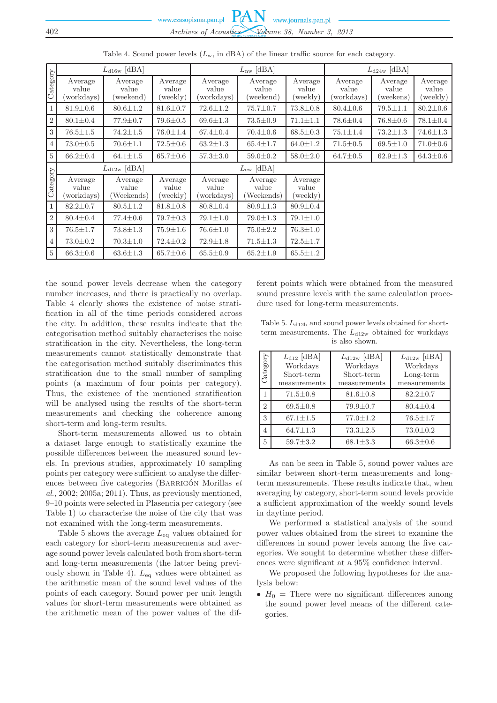|                            |                                | $L_{\rm d16w}$ [dBA]          |                              |                               | $L_{\rm nw}$ [dBA]             |                              |                                | $L_{d24w}$ [dBA]             |                              |
|----------------------------|--------------------------------|-------------------------------|------------------------------|-------------------------------|--------------------------------|------------------------------|--------------------------------|------------------------------|------------------------------|
| $\overline{\text{Categy}}$ | Average<br>value<br>(workdays) | Average<br>value<br>(weekend) | Average<br>value<br>(weekly) | Average<br>value<br>workdays) | Average<br>value<br>(weekend)  | Average<br>value<br>(weekly) | Average<br>value<br>(workdays) | Average<br>value<br>weekens) | Average<br>value<br>(weekly) |
| $\mathbf{1}$               | $81.9 \pm 0.6$                 | $80.6 \pm 1.2$                | $81.6 \pm 0.7$               | $72.6 \pm 1.2$                | $75.7 \pm 0.7$                 | $73.8 \pm 0.8$               | $80.4 \pm 0.6$                 | $79.5 \pm 1.1$               | $80.2 \pm 0.6$               |
| $\,2$                      | $80.1 \pm 0.4$                 | $77.9 \pm 0.7$                | $79.6 \pm 0.5$               | $69.6 \pm 1.3$                | $73.5 \pm 0.9$                 | $71.1 \pm 1.1$               | $78.6 \pm 0.4$                 | $76.8 \pm 0.6$               | $78.1 \pm 0.4$               |
| $\overline{3}$             | $76.5 \pm 1.5$                 | $74.2 \pm 1.5$                | $76.0 \pm 1.4$               | $67.4 \pm 0.4$                | $70.4 \pm 0.6$                 | $68.5 \pm 0.3$               | $75.1 \pm 1.4$                 | $73.2 \pm 1.3$               | $74.6 \pm 1.3$               |
| $\overline{4}$             | $73.0 \pm 0.5$                 | $70.6 \pm 1.1$                | $72.5 \pm 0.6$               | $63.2 \pm 1.3$                | $65.4 \pm 1.7$                 | $64.0 \pm 1.2$               | $71.5 \pm 0.5$                 | $69.5 \pm 1.0$               | $71.0 \pm 0.6$               |
| $5\,$                      | $66.2 \pm 0.4$                 | $64.1 \pm 1.5$                | $65.7 \pm 0.6$               | $57.3 \pm 3.0$                | $59.0 \pm 0.2$                 | $58.0 \pm 2.0$               | $64.7 \pm 0.5$                 | $62.9 \pm 1.3$               | $64.3 \pm 0.6$               |
|                            | $L_{d12w}$ [dBA]               |                               |                              | $L_{ew}$ [dBA]                |                                |                              |                                |                              |                              |
| Category                   | Average<br>value<br>workdays)  | Average<br>value<br>Weekends) | Average<br>value<br>(weekly) | Average<br>value<br>workdays) | Average<br>value<br>(Weekends) | Average<br>value<br>(weekly) |                                |                              |                              |
| $\mathbf{1}$               | $82.2 \pm 0.7$                 | $80.5 \pm 1.2$                | $81.8 \pm 0.8$               | $80.8 \pm 0.4$                | $80.9 \pm 1.3$                 | $80.9 \pm 0.4$               |                                |                              |                              |
| $\sqrt{2}$                 | $80.4 \pm 0.4$                 | $77.4 \pm 0.6$                | $79.7 \pm 0.3$               | $79.1 \pm 1.0$                | $79.0 \pm 1.3$                 | $79.1 \pm 1.0$               |                                |                              |                              |
| $\overline{3}$             | $76.5 \pm 1.7$                 | $73.8 \pm 1.3$                | $75.9 \pm 1.6$               | $76.6 \pm 1.0$                | $75.0 \pm 2.2$                 | $76.3 \pm 1.0$               |                                |                              |                              |
| $\overline{4}$             | $73.0 \pm 0.2$                 | $70.3 \pm 1.0$                | $72.4 \pm 0.2$               | $72.9 \pm 1.8$                | $71.5 \pm 1.3$                 | $72.5 \pm 1.7$               |                                |                              |                              |
| $5\,$                      | $66.3 \pm 0.6$                 | $63.6 \pm 1.3$                | $65.7 \pm 0.6$               | $65.5 \pm 0.9$                | $65.2 \pm 1.9$                 | $65.5 \pm 1.2$               |                                |                              |                              |

Table 4. Sound power levels  $(L_{\rm w}, \text{ in dBA})$  of the linear traffic source for each category.

the sound power levels decrease when the category number increases, and there is practically no overlap. Table 4 clearly shows the existence of noise stratification in all of the time periods considered across the city. In addition, these results indicate that the categorisation method suitably characterises the noise stratification in the city. Nevertheless, the long-term measurements cannot statistically demonstrate that the categorisation method suitably discriminates this stratification due to the small number of sampling points (a maximum of four points per category). Thus, the existence of the mentioned stratification will be analysed using the results of the short-term measurements and checking the coherence among short-term and long-term results.

Short-term measurements allowed us to obtain a dataset large enough to statistically examine the possible differences between the measured sound levels. In previous studies, approximately 10 sampling points per category were sufficient to analyse the differences between five categories (Barrigón Morillas *et al*., 2002; 2005a; 2011). Thus, as previously mentioned, 9–10 points were selected in Plasencia per category (see Table 1) to characterise the noise of the city that was not examined with the long-term measurements.

Table 5 shows the average  $L_{eq}$  values obtained for each category for short-term measurements and average sound power levels calculated both from short-term and long-term measurements (the latter being previously shown in Table 4).  $L_{eq}$  values were obtained as the arithmetic mean of the sound level values of the points of each category. Sound power per unit length values for short-term measurements were obtained as the arithmetic mean of the power values of the different points which were obtained from the measured sound pressure levels with the same calculation procedure used for long-term measurements.

Table 5.  $L_{d12h}$  and sound power levels obtained for shortterm measurements. The  $L_{d12w}$  obtained for workdays is also shown.

| Category       | $L_{d12}$ [dBA]<br>Workdays<br>Short-term<br>measurements | $L_{d12w}$ [dBA]<br>Workdays<br>Short-term<br>measurements | $L_{d12w}$ [dBA]<br>Workdays<br>Long-term<br>measurements |
|----------------|-----------------------------------------------------------|------------------------------------------------------------|-----------------------------------------------------------|
| 1              | $71.5 \pm 0.8$                                            | $81.6 \pm 0.8$                                             | $82.2 \pm 0.7$                                            |
| $\overline{2}$ | $69.5 \pm 0.8$                                            | $79.9 \pm 0.7$                                             | $80.4 \pm 0.4$                                            |
| 3              | $67.1 \pm 1.5$                                            | $77.0 \pm 1.2$                                             | $76.5 \pm 1.7$                                            |
| 4              | $64.7 \pm 1.3$                                            | $73.3 \pm 2.5$                                             | $73.0 \pm 0.2$                                            |
| 5              | $59.7 \pm 3.2$                                            | $68.1 \pm 3.3$                                             | $66.3 \pm 0.6$                                            |

As can be seen in Table 5, sound power values are similar between short-term measurements and longterm measurements. These results indicate that, when averaging by category, short-term sound levels provide a sufficient approximation of the weekly sound levels in daytime period.

We performed a statistical analysis of the sound power values obtained from the street to examine the differences in sound power levels among the five categories. We sought to determine whether these differences were significant at a 95% confidence interval.

We proposed the following hypotheses for the analysis below:

•  $H_0$  = There were no significant differences among the sound power level means of the different categories.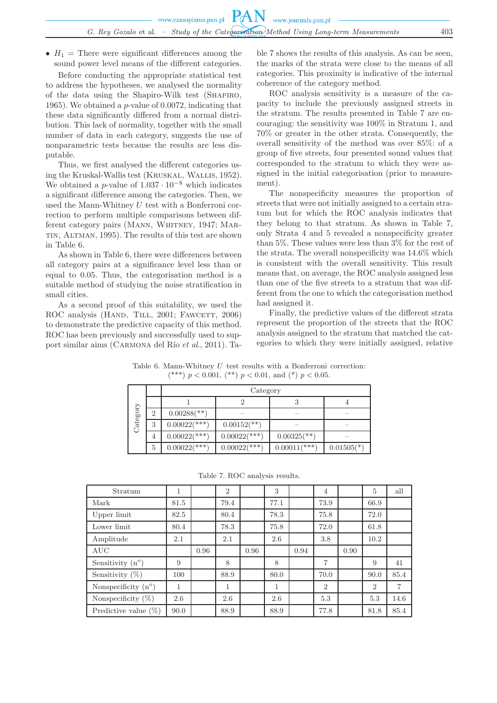•  $H_1$  = There were significant differences among the sound power level means of the different categories.

Before conducting the appropriate statistical test to address the hypotheses, we analysed the normality of the data using the Shapiro-Wilk test (Shapiro, 1965). We obtained a p-value of 0.0072, indicating that these data significantly differed from a normal distribution. This lack of normality, together with the small number of data in each category, suggests the use of nonparametric tests because the results are less disputable.

Thus, we first analysed the different categories using the Kruskal-Wallis test (Kruskal, Wallis, 1952). We obtained a p-value of  $1.037 \cdot 10^{-8}$  which indicates a significant difference among the categories. Then, we used the Mann-Whitney  $U$  test with a Bonferroni correction to perform multiple comparisons between different category pairs (MANN, WHITNEY, 1947; MARtin, Altman, 1995). The results of this test are shown in Table 6.

As shown in Table 6, there were differences between all category pairs at a significance level less than or equal to 0.05. Thus, the categorisation method is a suitable method of studying the noise stratification in small cities.

As a second proof of this suitability, we used the ROC analysis (HAND, TILL, 2001; FAWCETT, 2006) to demonstrate the predictive capacity of this method. ROC has been previously and successfully used to support similar aims (CARMONA del Río *et al.*, 2011). Table 7 shows the results of this analysis. As can be seen, the marks of the strata were close to the means of all categories. This proximity is indicative of the internal coherence of the category method.

ROC analysis sensitivity is a measure of the capacity to include the previously assigned streets in the stratum. The results presented in Table 7 are encouraging: the sensitivity was 100% in Stratum 1, and 70% or greater in the other strata. Consequently, the overall sensitivity of the method was over 85%: of a group of five streets, four presented sound values that corresponded to the stratum to which they were assigned in the initial categorisation (prior to measurement).

The nonspecificity measures the proportion of streets that were not initially assigned to a certain stratum but for which the ROC analysis indicates that they belong to that stratum. As shown in Table 7, only Strata 4 and 5 revealed a nonspecificity greater than 5%. These values were less than 3% for the rest of the strata. The overall nonspecificity was 14.6% which is consistent with the overall sensitivity. This result means that, on average, the ROC analysis assigned less than one of the five streets to a stratum that was different from the one to which the categorisation method had assigned it.

Finally, the predictive values of the different strata represent the proportion of the streets that the ROC analysis assigned to the stratum that matched the categories to which they were initially assigned, relative

Table 6. Mann-Whitney U test results with a Bonferroni correction: (\*\*\*)  $p < 0.001$ , (\*\*)  $p < 0.01$ , and (\*)  $p < 0.05$ .

|          |                | Category                  |                           |                           |              |  |  |  |  |  |
|----------|----------------|---------------------------|---------------------------|---------------------------|--------------|--|--|--|--|--|
|          |                |                           |                           | ۰J                        |              |  |  |  |  |  |
|          | $\overline{2}$ | $0.00288$ <sup>**</sup> ) |                           |                           |              |  |  |  |  |  |
| Category | 3              | $0.00022$ (***)           | $0.00152$ <sup>**</sup> ) |                           |              |  |  |  |  |  |
|          | 4              | $0.00022$ (***)           | $0.00022$ (***)           | $0.00325$ <sup>**</sup> ) |              |  |  |  |  |  |
|          | 5              | $0.00022$ (***)           | $0.00022$ (***)           | $0.00011$ (***)           | $0.01505(*)$ |  |  |  |  |  |

|  |  |  | Table 7. ROC analysis results. |  |
|--|--|--|--------------------------------|--|
|--|--|--|--------------------------------|--|

| Stratum                      | 1    |      | $\overline{2}$ |      | 3    |      | 4              |      | $\overline{5}$ | all  |
|------------------------------|------|------|----------------|------|------|------|----------------|------|----------------|------|
| Mark                         | 81.5 |      | 79.4           |      | 77.1 |      | 73.9           |      | 66.9           |      |
| Upper limit                  | 82.5 |      | 80.4           |      | 78.3 |      | 75.8           |      | 72.0           |      |
| Lower limit                  | 80.4 |      | 78.3           |      | 75.8 |      | 72.0           |      | 61.8           |      |
| Amplitude                    | 2.1  |      | 2.1            |      | 2.6  |      | 3.8            |      | 10.2           |      |
| <b>AUC</b>                   |      | 0.96 |                | 0.96 |      | 0.94 |                | 0.90 |                |      |
| Sensitivity $(n^{\circ})$    | 9    |      | 8              |      | 8    |      | 7              |      | 9              | 41   |
| Sensitivity $(\%)$           | 100  |      | 88.9           |      | 80.0 |      | 70.0           |      | 90.0           | 85.4 |
| Nonspecificity $(n^{\circ})$ | 1    |      | 1              |      | 1    |      | $\overline{2}$ |      | $\overline{2}$ | 7    |
| Nonspecificity $(\%)$        | 2.6  |      | 2.6            |      | 2.6  |      | 5.3            |      | 5.3            | 14.6 |
| Predictive value $(\%)$      | 90.0 |      | 88.9           |      | 88.9 |      | 77.8           |      | 81.8           | 85.4 |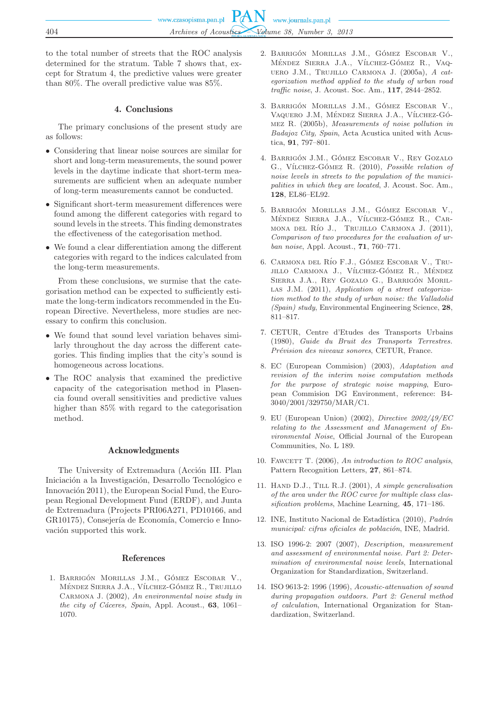to the total number of streets that the ROC analysis determined for the stratum. Table 7 shows that, except for Stratum 4, the predictive values were greater than 80%. The overall predictive value was 85%.

# 4. Conclusions

The primary conclusions of the present study are as follows:

- Considering that linear noise sources are similar for short and long-term measurements, the sound power levels in the daytime indicate that short-term measurements are sufficient when an adequate number of long-term measurements cannot be conducted.
- Significant short-term measurement differences were found among the different categories with regard to sound levels in the streets. This finding demonstrates the effectiveness of the categorisation method.
- We found a clear differentiation among the different categories with regard to the indices calculated from the long-term measurements.

From these conclusions, we surmise that the categorisation method can be expected to sufficiently estimate the long-term indicators recommended in the European Directive. Nevertheless, more studies are necessary to confirm this conclusion.

- We found that sound level variation behaves similarly throughout the day across the different categories. This finding implies that the city's sound is homogeneous across locations.
- The ROC analysis that examined the predictive capacity of the categorisation method in Plasencia found overall sensitivities and predictive values higher than 85% with regard to the categorisation method.

### Acknowledgments

The University of Extremadura (Acción III. Plan Iniciación a la Investigación, Desarrollo Tecnológico e Innovación 2011), the European Social Fund, the European Regional Development Fund (ERDF), and Junta de Extremadura (Projects PRI06A271, PD10166, and GR10175), Consejería de Economía, Comercio e Innovación supported this work.

## References

1. Barrigón Morillas J.M., Gómez Escobar V., MÉNDEZ SIERRA J.A., VÍLCHEZ-GÓMEZ R., TRUJILLO Carmona J. (2002), *An environmental noise study in the city of C´aceres, Spain*, Appl. Acoust., **63**, 1061– 1070.

- 2. Barrigón Morillas J.M., Gómez Escobar V., MÉNDEZ SIERRA J.A., VÍLCHEZ-GÓMEZ R., VAQuero J.M., Trujillo Carmona J. (2005a), *A categorization method applied to the study of urban road traffic noise*, J. Acoust. Soc. Am., **117**, 2844–2852.
- 3. Barrigón Morillas J.M., Gómez Escobar V., VAQUERO J.M, MÉNDEZ SIERRA J.A., VÍLCHEZ-GÓmez R. (2005b), *Measurements of noise pollution in Badajoz City, Spain*, Acta Acustica united with Acustica, **91**, 797–801.
- 4. Barrigón J.M., Gómez Escobar V., Rey Gozalo G., V´ılchez-Gómez R. (2010), *Possible relation of noise levels in streets to the population of the municipalities in which they are located*, J. Acoust. Soc. Am., **128**, EL86–EL92.
- 5. Barrigón Morillas J.M., Gómez Escobar V., MÉNDEZ SIERRA J.A., VÍLCHEZ-GÓMEZ R., CARmona del Río J., Trujillo Carmona J. (2011), *Comparison of two procedures for the evaluation of urban noise*, Appl. Acoust., **71**, 760–771.
- 6. CARMONA DEL RÍO F.J., GÓMEZ ESCOBAR V., TRU-JILLO CARMONA J., VÍLCHEZ-GÓMEZ R., MÉNDEZ Sierra J.A., Rey Gozalo G., Barrigón Morillas J.M. (2011), *Application of a street categorization method to the study of urban noise: the Valladolid (Spain) study*, Environmental Engineering Science, **28**, 811–817.
- 7. CETUR, Centre d'Etudes des Transports Urbains (1980), *Guide du Bruit des Transports Terrestres. Pr´evision des niveaux sonores*, CETUR, France.
- 8. EC (European Commision) (2003), *Adaptation and revision of the interim noise computation methods for the purpose of strategic noise mapping*, European Commision DG Environment, reference: B4- 3040/2001/329750/MAR/C1.
- 9. EU (European Union) (2002), *Directive 2002/49/EC relating to the Assessment and Management of Environmental Noise*, Official Journal of the European Communities, No. L 189.
- 10. FAWCETT T. (2006), *An introduction to ROC analysis*, Pattern Recognition Letters, **27**, 861–874.
- 11. Hand D.J., Till R.J. (2001), *A simple generalisation of the area under the ROC curve for multiple class classification problems*, Machine Learning, **45**, 171–186.
- 12. INE, Instituto Nacional de Estadística (2010), *Padrón municipal: cifras oficiales de población*, INE, Madrid.
- 13. ISO 1996-2: 2007 (2007), *Description, measurement and assessment of environmental noise. Part 2: Determination of environmental noise levels*, International Organization for Standardization, Switzerland.
- 14. ISO 9613-2: 1996 (1996), *Acoustic-attenuation of sound during propagation outdoors. Part 2: General method of calculation*, International Organization for Standardization, Switzerland.